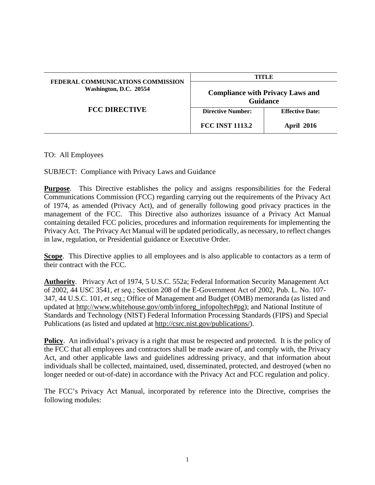| FEDERAL COMMUNICATIONS COMMISSION<br>Washington, D.C. 20554<br><b>FCC DIRECTIVE</b> | TITLE                                                      |                        |
|-------------------------------------------------------------------------------------|------------------------------------------------------------|------------------------|
|                                                                                     | <b>Compliance with Privacy Laws and</b><br><b>Guidance</b> |                        |
|                                                                                     | <b>Directive Number:</b>                                   | <b>Effective Date:</b> |
|                                                                                     | <b>FCC INST 1113.2</b>                                     | <b>April 2016</b>      |

## TO: All Employees

SUBJECT: Compliance with Privacy Laws and Guidance

**Purpose.** This Directive establishes the policy and assigns responsibilities for the Federal Communications Commission (FCC) regarding carrying out the requirements of the Privacy Act of 1974, as amended (Privacy Act), and of generally following good privacy practices in the management of the FCC. This Directive also authorizes issuance of a Privacy Act Manual containing detailed FCC policies, procedures and information requirements for implementing the Privacy Act. The Privacy Act Manual will be updated periodically, as necessary, to reflect changes in law, regulation, or Presidential guidance or Executive Order.

**Scope**. This Directive applies to all employees and is also applicable to contactors as a term of their contract with the FCC.

**Authority**. Privacy Act of 1974, 5 U.S.C. 552a; Federal Information Security Management Act of 2002, 44 USC 3541, *et seq.*; Section 208 of the E-Government Act of 2002, Pub. L. No. 107- 347, 44 U.S.C. 101, *et seq.*; Office of Management and Budget (OMB) memoranda (as listed and updated at http://www.whitehouse.gov/omb/inforeg\_infopoltech#pg); and National Institute of Standards and Technology (NIST) Federal Information Processing Standards (FIPS) and Special Publications (as listed and updated at http://csrc.nist.gov/publications/).

**Policy.** An individual's privacy is a right that must be respected and protected. It is the policy of the FCC that all employees and contractors shall be made aware of, and comply with, the Privacy Act, and other applicable laws and guidelines addressing privacy, and that information about individuals shall be collected, maintained, used, disseminated, protected, and destroyed (when no longer needed or out-of-date) in accordance with the Privacy Act and FCC regulation and policy.

The FCC's Privacy Act Manual, incorporated by reference into the Directive, comprises the following modules: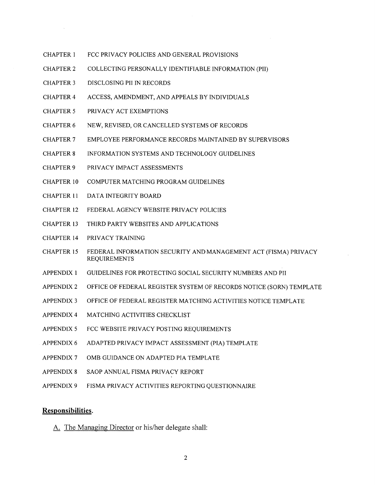- FCC PRIVACY POLICIES AND GENERAL PROVISIONS **CHAPTER 1**
- **CHAPTER 2** COLLECTING PERSONALLY IDENTIFIABLE INFORMATION (PII)
- **CHAPTER 3** DISCLOSING PII IN RECORDS
- **CHAPTER 4** ACCESS, AMENDMENT, AND APPEALS BY INDIVIDUALS
- **CHAPTER 5** PRIVACY ACT EXEMPTIONS
- **CHAPTER 6** NEW, REVISED, OR CANCELLED SYSTEMS OF RECORDS
- **CHAPTER 7** EMPLOYEE PERFORMANCE RECORDS MAINTAINED BY SUPERVISORS
- **CHAPTER 8** INFORMATION SYSTEMS AND TECHNOLOGY GUIDELINES
- **CHAPTER 9** PRIVACY IMPACT ASSESSMENTS
- **CHAPTER 10** COMPUTER MATCHING PROGRAM GUIDELINES
- **CHAPTER 11** DATA INTEGRITY BOARD
- **CHAPTER 12** FEDERAL AGENCY WEBSITE PRIVACY POLICIES
- **CHAPTER 13** THIRD PARTY WEBSITES AND APPLICATIONS
- **CHAPTER 14** PRIVACY TRAINING
- **CHAPTER 15** FEDERAL INFORMATION SECURITY AND MANAGEMENT ACT (FISMA) PRIVACY **REQUIREMENTS**
- GUIDELINES FOR PROTECTING SOCIAL SECURITY NUMBERS AND PII **APPENDIX 1**
- OFFICE OF FEDERAL REGISTER SYSTEM OF RECORDS NOTICE (SORN) TEMPLATE **APPENDIX 2**
- **APPENDIX 3** OFFICE OF FEDERAL REGISTER MATCHING ACTIVITIES NOTICE TEMPLATE
- **APPENDIX 4** MATCHING ACTIVITIES CHECKLIST
- APPENDIX 5 FCC WEBSITE PRIVACY POSTING REQUIREMENTS
- **APPENDIX 6** ADAPTED PRIVACY IMPACT ASSESSMENT (PIA) TEMPLATE
- **APPENDIX 7** OMB GUIDANCE ON ADAPTED PIA TEMPLATE
- **APPENDIX 8** SAOP ANNUAL FISMA PRIVACY REPORT
- **APPENDIX 9** FISMA PRIVACY ACTIVITIES REPORTING QUESTIONNAIRE

## Responsibilities.

A. The Managing Director or his/her delegate shall: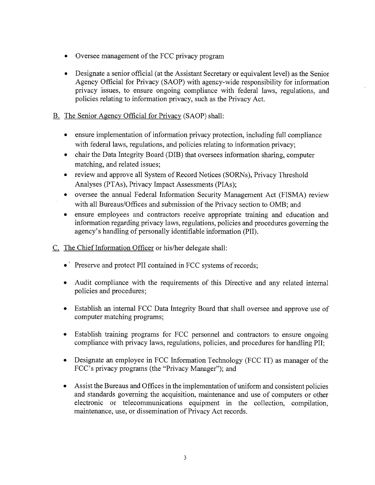- Oversee management of the FCC privacy program
- Designate a senior official (at the Assistant Secretary or equivalent level) as the Senior Agency Official for Privacy (SAOP) with agency-wide responsibility for information privacy issues, to ensure ongoing compliance with federal laws, regulations, and policies relating to information privacy, such as the Privacy Act.

## B. The Senior Agency Official for Privacy (SAOP) shall:

- ensure implementation of information privacy protection, including full compliance with federal laws, regulations, and policies relating to information privacy;
- chair the Data Integrity Board (DIB) that oversees information sharing, computer matching, and related issues;
- review and approve all System of Record Notices (SORNs), Privacy Threshold Analyses (PTAs), Privacy Impact Assessments (PIAs);
- oversee the annual Federal Information Security Management Act (FISMA) review with all Bureaus/Offices and submission of the Privacy section to OMB; and
- ensure employees and contractors receive appropriate training and education and  $\bullet$ information regarding privacy laws, regulations, policies and procedures governing the agency's handling of personally identifiable information (PII).
- C. The Chief Information Officer or his/her delegate shall:
	- Preserve and protect PII contained in FCC systems of records;
	- Audit compliance with the requirements of this Directive and any related internal policies and procedures;
	- Establish an internal FCC Data Integrity Board that shall oversee and approve use of  $\bullet$ computer matching programs;
	- Establish training programs for FCC personnel and contractors to ensure ongoing  $\bullet$ compliance with privacy laws, regulations, policies, and procedures for handling PII;
	- Designate an employee in FCC Information Technology (FCC IT) as manager of the FCC's privacy programs (the "Privacy Manager"); and
	- Assist the Bureaus and Offices in the implementation of uniform and consistent policies and standards governing the acquisition, maintenance and use of computers or other electronic or telecommunications equipment in the collection, compilation, maintenance, use, or dissemination of Privacy Act records.